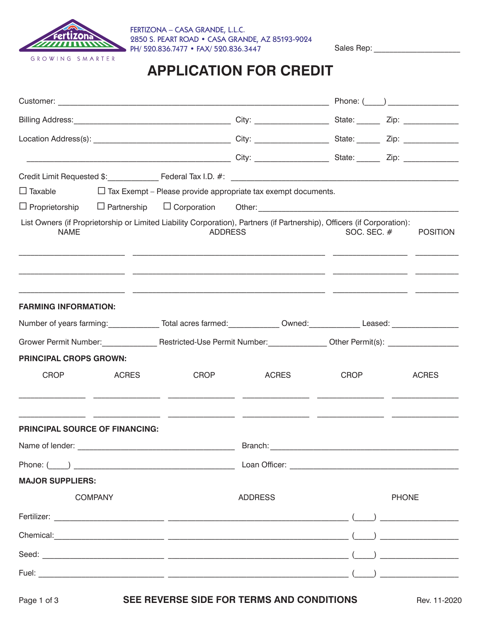

FERTIZONA – CASA GRANDE, L.L.C. 2850 S. PEART ROAD • CASA GRANDE, AZ 85193-9024 PH/ 520.836.7477 • FAX/ 520.836.3447

Sales Rep:

## **APPLICATION FOR CREDIT**

|                                                                                                                      | Phone: $($   |                |                                                                                                                         |             |  |                 |  |
|----------------------------------------------------------------------------------------------------------------------|--------------|----------------|-------------------------------------------------------------------------------------------------------------------------|-------------|--|-----------------|--|
|                                                                                                                      |              |                |                                                                                                                         |             |  |                 |  |
|                                                                                                                      |              |                |                                                                                                                         |             |  |                 |  |
|                                                                                                                      |              |                |                                                                                                                         |             |  |                 |  |
|                                                                                                                      |              |                |                                                                                                                         |             |  |                 |  |
|                                                                                                                      |              |                | $\Box$ Taxable $\Box$ Tax Exempt – Please provide appropriate tax exempt documents.                                     |             |  |                 |  |
|                                                                                                                      |              |                | □ Proprietorship □ Partnership □ Corporation Other: ____________________________                                        |             |  |                 |  |
| <b>NAME</b>                                                                                                          |              | <b>ADDRESS</b> | List Owners (if Proprietorship or Limited Liability Corporation), Partners (if Partnership), Officers (if Corporation): | SOC. SEC. # |  | <b>POSITION</b> |  |
| <b>FARMING INFORMATION:</b>                                                                                          |              |                | <u> 1989 - Andrea San Andrea Andrea Andrea Andrea Andrea Andrea Andrea Andrea Andrea Andrea Andrea Andrea Andrea</u>    |             |  |                 |  |
| Number of years farming: ______________Total acres farmed: _____________Owned: _____________Leased: ________________ |              |                |                                                                                                                         |             |  |                 |  |
|                                                                                                                      |              |                |                                                                                                                         |             |  |                 |  |
| <b>PRINCIPAL CROPS GROWN:</b>                                                                                        |              |                |                                                                                                                         |             |  |                 |  |
| <b>CROP</b>                                                                                                          | <b>ACRES</b> | <b>CROP</b>    | <b>ACRES</b>                                                                                                            | <b>CROP</b> |  | <b>ACRES</b>    |  |
| <b>PRINCIPAL SOURCE OF FINANCING:</b>                                                                                |              |                |                                                                                                                         |             |  |                 |  |
|                                                                                                                      |              |                |                                                                                                                         |             |  |                 |  |
|                                                                                                                      |              |                |                                                                                                                         |             |  |                 |  |
| <b>MAJOR SUPPLIERS:</b>                                                                                              |              |                |                                                                                                                         |             |  |                 |  |
| <b>COMPANY</b>                                                                                                       |              | <b>ADDRESS</b> | <b>PHONE</b>                                                                                                            |             |  |                 |  |
|                                                                                                                      |              |                |                                                                                                                         |             |  |                 |  |
|                                                                                                                      |              |                |                                                                                                                         |             |  |                 |  |
|                                                                                                                      |              |                |                                                                                                                         |             |  |                 |  |
|                                                                                                                      |              |                |                                                                                                                         |             |  |                 |  |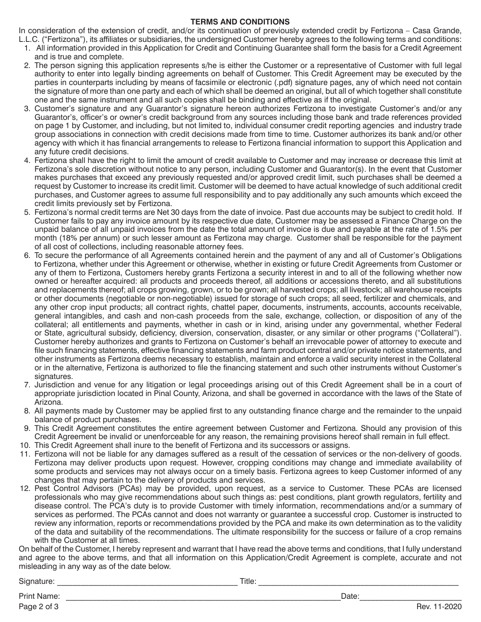## **TERMS AND CONDITIONS**

In consideration of the extension of credit, and/or its continuation of previously extended credit by Fertizona – Casa Grande, L.L.C. ("Fertizona"), its affiliates or subsidiaries, the undersigned Customer hereby agrees to the following terms and conditions:

- 1. All information provided in this Application for Credit and Continuing Guarantee shall form the basis for a Credit Agreement and is true and complete.
- 2. The person signing this application represents s/he is either the Customer or a representative of Customer with full legal authority to enter into legally binding agreements on behalf of Customer. This Credit Agreement may be executed by the parties in counterparts including by means of facsimile or electronic (.pdf) signature pages, any of which need not contain the signature of more than one party and each of which shall be deemed an original, but all of which together shall constitute one and the same instrument and all such copies shall be binding and effective as if the original.
- 3. Customer's signature and any Guarantor's signature hereon authorizes Fertizona to investigate Customer's and/or any Guarantor's, officer's or owner's credit background from any sources including those bank and trade references provided on page 1 by Customer, and including, but not limited to, individual consumer credit reporting agencies and industry trade group associations in connection with credit decisions made from time to time. Customer authorizes its bank and/or other agency with which it has financial arrangements to release to Fertizona financial information to support this Application and any future credit decisions.
- 4. Fertizona shall have the right to limit the amount of credit available to Customer and may increase or decrease this limit at Fertizona's sole discretion without notice to any person, including Customer and Guarantor(s). In the event that Customer makes purchases that exceed any previously requested and/or approved credit limit, such purchases shall be deemed a request by Customer to increase its credit limit. Customer will be deemed to have actual knowledge of such additional credit purchases, and Customer agrees to assume full responsibility and to pay additionally any such amounts which exceed the credit limits previously set by Fertizona.
- 5. Fertizona's normal credit terms are Net 30 days from the date of invoice. Past due accounts may be subject to credit hold. If Customer fails to pay any invoice amount by its respective due date, Customer may be assessed a Finance Charge on the unpaid balance of all unpaid invoices from the date the total amount of invoice is due and payable at the rate of 1.5% per month (18% per annum) or such lesser amount as Fertizona may charge. Customer shall be responsible for the payment of all cost of collections, including reasonable attorney fees.
- 6. To secure the performance of all Agreements contained herein and the payment of any and all of Customer's Obligations to Fertizona, whether under this Agreement or otherwise, whether in existing or future Credit Agreements from Customer or any of them to Fertizona, Customers hereby grants Fertizona a security interest in and to all of the following whether now owned or hereafter acquired: all products and proceeds thereof, all additions or accessions thereto, and all substitutions and replacements thereof; all crops growing, grown, or to be grown; all harvested crops; all livestock; all warehouse receipts or other documents (negotiable or non-negotiable) issued for storage of such crops; all seed, fertilizer and chemicals, and any other crop input products; all contract rights, chattel paper, documents, instruments, accounts, accounts receivable, general intangibles, and cash and non-cash proceeds from the sale, exchange, collection, or disposition of any of the collateral; all entitlements and payments, whether in cash or in kind, arising under any governmental, whether Federal or State, agricultural subsidy, deficiency, diversion, conservation, disaster, or any similar or other programs ("Collateral"). Customer hereby authorizes and grants to Fertizona on Customer's behalf an irrevocable power of attorney to execute and file such financing statements, effective financing statements and farm product central and/or private notice statements, and other instruments as Fertizona deems necessary to establish, maintain and enforce a valid security interest in the Collateral or in the alternative, Fertizona is authorized to file the financing statement and such other instruments without Customer's signatures.
- 7. Jurisdiction and venue for any litigation or legal proceedings arising out of this Credit Agreement shall be in a court of appropriate jurisdiction located in Pinal County, Arizona, and shall be governed in accordance with the laws of the State of Arizona.
- 8. All payments made by Customer may be applied first to any outstanding finance charge and the remainder to the unpaid balance of product purchases.
- 9. This Credit Agreement constitutes the entire agreement between Customer and Fertizona. Should any provision of this Credit Agreement be invalid or unenforceable for any reason, the remaining provisions hereof shall remain in full effect.
- 10. This Credit Agreement shall inure to the benefit of Fertizona and its successors or assigns.
- 11. Fertizona will not be liable for any damages suffered as a result of the cessation of services or the non-delivery of goods. Fertizona may deliver products upon request. However, cropping conditions may change and immediate availability of some products and services may not always occur on a timely basis. Fertizona agrees to keep Customer informed of any changes that may pertain to the delivery of products and services.
- 12. Pest Control Advisors (PCAs) may be provided, upon request, as a service to Customer. These PCAs are licensed professionals who may give recommendations about such things as: pest conditions, plant growth regulators, fertility and disease control. The PCA's duty is to provide Customer with timely information, recommendations and/or a summary of services as performed. The PCAs cannot and does not warranty or guarantee a successful crop. Customer is instructed to review any information, reports or recommendations provided by the PCA and make its own determination as to the validity of the data and suitability of the recommendations. The ultimate responsibility for the success or failure of a crop remains with the Customer at all times.

On behalf of the Customer, I hereby represent and warrant that I have read the above terms and conditions, that I fully understand and agree to the above terms, and that all information on this Application/Credit Agreement is complete, accurate and not misleading in any way as of the date below.

Signature: \_\_\_\_\_\_\_\_\_\_\_\_\_\_\_\_\_\_\_\_\_\_\_\_\_\_\_\_\_\_\_\_\_\_\_\_\_\_\_\_\_\_\_\_\_\_ Title: \_\_\_\_\_\_\_\_\_\_\_\_\_\_\_\_\_\_\_\_\_\_\_\_\_\_\_\_\_\_\_\_\_\_\_\_\_\_\_\_\_\_\_\_\_\_\_\_\_\_\_

Print Name: \_\_\_\_\_\_\_\_\_\_\_\_\_\_\_\_\_\_\_\_\_\_\_\_\_\_\_\_\_\_\_\_\_\_\_\_\_\_\_\_\_\_\_\_\_\_\_\_\_\_\_\_\_\_\_\_\_\_\_\_\_\_\_\_\_\_\_\_\_\_Date:\_\_\_\_\_\_\_\_\_\_\_\_\_\_\_\_\_\_\_\_\_\_\_\_\_\_